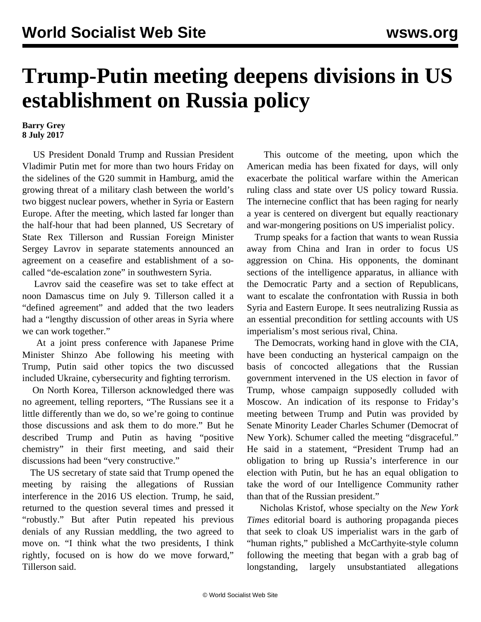## **Trump-Putin meeting deepens divisions in US establishment on Russia policy**

## **Barry Grey 8 July 2017**

 US President Donald Trump and Russian President Vladimir Putin met for more than two hours Friday on the sidelines of the G20 summit in Hamburg, amid the growing threat of a military clash between the world's two biggest nuclear powers, whether in Syria or Eastern Europe. After the meeting, which lasted far longer than the half-hour that had been planned, US Secretary of State Rex Tillerson and Russian Foreign Minister Sergey Lavrov in separate statements announced an agreement on a ceasefire and establishment of a socalled "de-escalation zone" in southwestern Syria.

 Lavrov said the ceasefire was set to take effect at noon Damascus time on July 9. Tillerson called it a "defined agreement" and added that the two leaders had a "lengthy discussion of other areas in Syria where we can work together."

 At a joint press conference with Japanese Prime Minister Shinzo Abe following his meeting with Trump, Putin said other topics the two discussed included Ukraine, cybersecurity and fighting terrorism.

 On North Korea, Tillerson acknowledged there was no agreement, telling reporters, "The Russians see it a little differently than we do, so we're going to continue those discussions and ask them to do more." But he described Trump and Putin as having "positive chemistry" in their first meeting, and said their discussions had been "very constructive."

 The US secretary of state said that Trump opened the meeting by raising the allegations of Russian interference in the 2016 US election. Trump, he said, returned to the question several times and pressed it "robustly." But after Putin repeated his previous denials of any Russian meddling, the two agreed to move on. "I think what the two presidents, I think rightly, focused on is how do we move forward," Tillerson said.

 This outcome of the meeting, upon which the American media has been fixated for days, will only exacerbate the political warfare within the American ruling class and state over US policy toward Russia. The internecine conflict that has been raging for nearly a year is centered on divergent but equally reactionary and war-mongering positions on US imperialist policy.

 Trump speaks for a faction that wants to wean Russia away from China and Iran in order to focus US aggression on China. His opponents, the dominant sections of the intelligence apparatus, in alliance with the Democratic Party and a section of Republicans, want to escalate the confrontation with Russia in both Syria and Eastern Europe. It sees neutralizing Russia as an essential precondition for settling accounts with US imperialism's most serious rival, China.

 The Democrats, working hand in glove with the CIA, have been conducting an hysterical campaign on the basis of concocted allegations that the Russian government intervened in the US election in favor of Trump, whose campaign supposedly colluded with Moscow. An indication of its response to Friday's meeting between Trump and Putin was provided by Senate Minority Leader Charles Schumer (Democrat of New York). Schumer called the meeting "disgraceful." He said in a statement, "President Trump had an obligation to bring up Russia's interference in our election with Putin, but he has an equal obligation to take the word of our Intelligence Community rather than that of the Russian president."

 Nicholas Kristof, whose specialty on the *New York Times* editorial board is authoring propaganda pieces that seek to cloak US imperialist wars in the garb of "human rights," published a McCarthyite-style column following the meeting that began with a grab bag of longstanding, largely unsubstantiated allegations